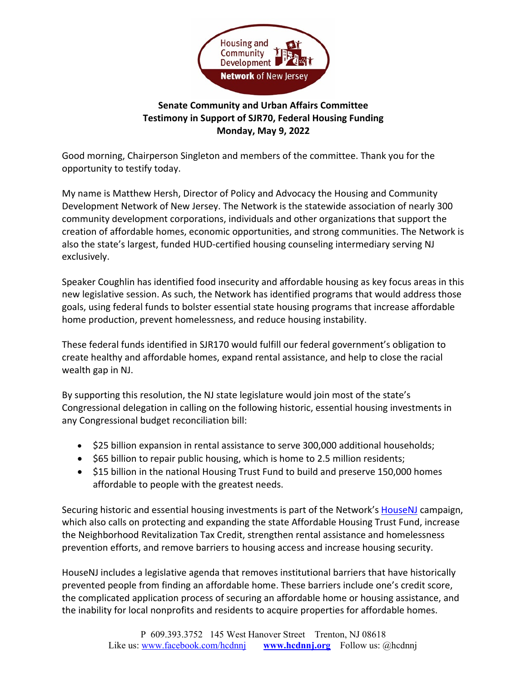

## **Senate Community and Urban Affairs Committee Testimony in Support of SJR70, Federal Housing Funding Monday, May 9, 2022**

Good morning, Chairperson Singleton and members of the committee. Thank you for the opportunity to testify today.

My name is Matthew Hersh, Director of Policy and Advocacy the Housing and Community Development Network of New Jersey. The Network is the statewide association of nearly 300 community development corporations, individuals and other organizations that support the creation of affordable homes, economic opportunities, and strong communities. The Network is also the state's largest, funded HUD-certified housing counseling intermediary serving NJ exclusively.

Speaker Coughlin has identified food insecurity and affordable housing as key focus areas in this new legislative session. As such, the Network has identified programs that would address those goals, using federal funds to bolster essential state housing programs that increase affordable home production, prevent homelessness, and reduce housing instability.

These federal funds identified in SJR170 would fulfill our federal government's obligation to create healthy and affordable homes, expand rental assistance, and help to close the racial wealth gap in NJ.

By supporting this resolution, the NJ state legislature would join most of the state's Congressional delegation in calling on the following historic, essential housing investments in any Congressional budget reconciliation bill:

- \$25 billion expansion in rental assistance to serve 300,000 additional households;
- \$65 billion to repair public housing, which is home to 2.5 million residents;
- \$15 billion in the national Housing Trust Fund to build and preserve 150,000 homes affordable to people with the greatest needs.

Securing historic and essential housing investments is part of the Network's [HouseNJ](http://www.hcdnnj.org/housenj) campaign, which also calls on protecting and expanding the state Affordable Housing Trust Fund, increase the Neighborhood Revitalization Tax Credit, strengthen rental assistance and homelessness prevention efforts, and remove barriers to housing access and increase housing security.

HouseNJ includes a legislative agenda that removes institutional barriers that have historically prevented people from finding an affordable home. These barriers include one's credit score, the complicated application process of securing an affordable home or housing assistance, and the inability for local nonprofits and residents to acquire properties for affordable homes.